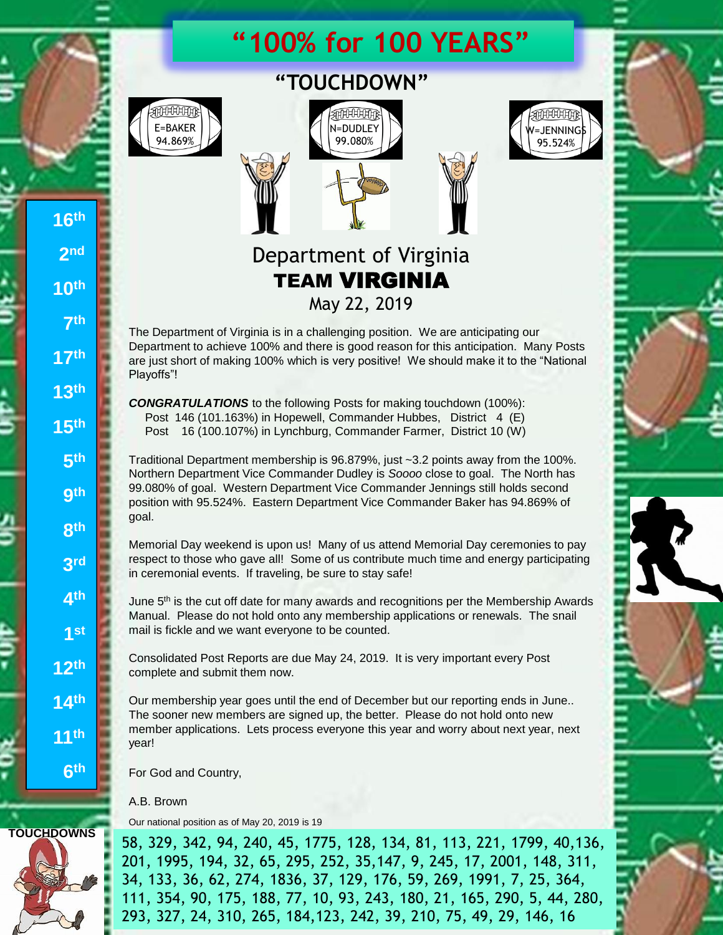# **"100% for 100 YEARS"**



**16th**

**2 nd**

**10th**

**7 th**

**17th**

**13th**

**15th**

**5 th**

**9 th**

**8 th**

**3 rd**

**4 th**

**1 st**

**12th**

**14th**

**11th**

**6 th**





# Department of Virginia TEAM VIRGINIA May 22, 2019

The Department of Virginia is in a challenging position. We are anticipating our Department to achieve 100% and there is good reason for this anticipation. Many Posts are just short of making 100% which is very positive! We should make it to the "National Playoffs"!

*CONGRATULATIONS* to the following Posts for making touchdown (100%): Post 146 (101.163%) in Hopewell, Commander Hubbes, District 4 (E) Post 16 (100.107%) in Lynchburg, Commander Farmer, District 10 (W)

Traditional Department membership is 96.879%, just ~3.2 points away from the 100%. Northern Department Vice Commander Dudley is *Soooo* close to goal. The North has 99.080% of goal. Western Department Vice Commander Jennings still holds second position with 95.524%. Eastern Department Vice Commander Baker has 94.869% of goal.

Memorial Day weekend is upon us! Many of us attend Memorial Day ceremonies to pay respect to those who gave all! Some of us contribute much time and energy participating in ceremonial events. If traveling, be sure to stay safe!

June 5<sup>th</sup> is the cut off date for many awards and recognitions per the Membership Awards Manual. Please do not hold onto any membership applications or renewals. The snail mail is fickle and we want everyone to be counted.

Consolidated Post Reports are due May 24, 2019. It is very important every Post complete and submit them now.

Our membership year goes until the end of December but our reporting ends in June.. The sooner new members are signed up, the better. Please do not hold onto new member applications. Lets process everyone this year and worry about next year, next year!

For God and Country,

A.B. Brown

Our national position as of May 20, 2019 is 19

**TOUCHDOWNS** 58, 329, 342, 94, 240, 45, 1775, 128, 134, 81, 113, 221, 1799, 40,136, 201, 1995, 194, 32, 65, 295, 252, 35,147, 9, 245, 17, 2001, 148, 311, 34, 133, 36, 62, 274, 1836, 37, 129, 176, 59, 269, 1991, 7, 25, 364, 111, 354, 90, 175, 188, 77, 10, 93, 243, 180, 21, 165, 290, 5, 44, 280, 293, 327, 24, 310, 265, 184,123, 242, 39, 210, 75, 49, 29, 146, 16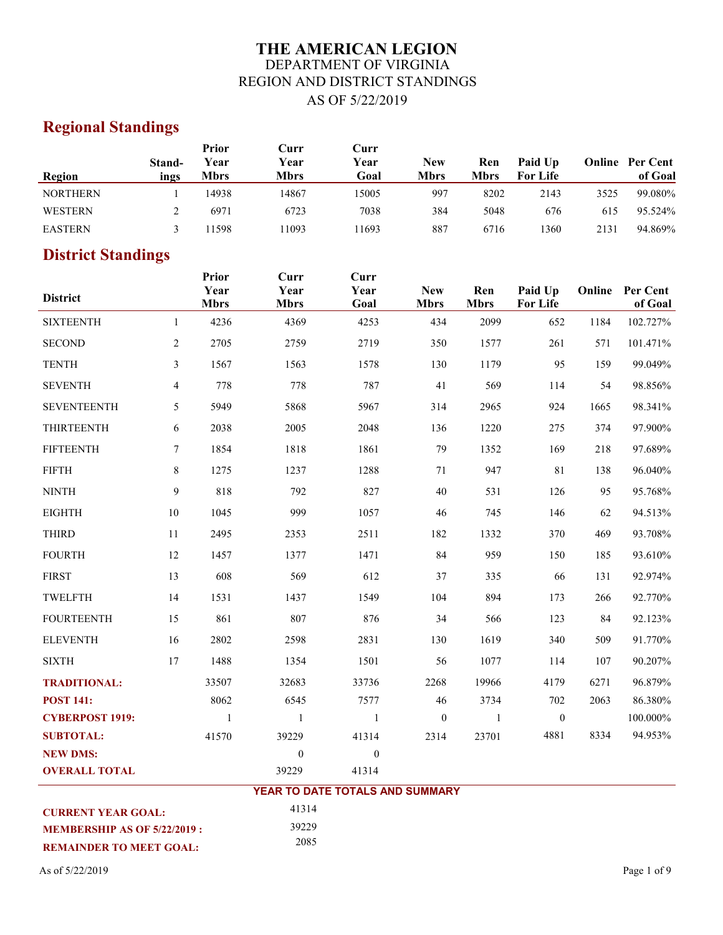# **THE AMERICAN LEGION** DEPARTMENT OF VIRGINIA REGION AND DISTRICT STANDINGS AS OF 5/22/2019

# **Regional Standings**

|                 |                | Prior               | Curr         | Curr         |                           |                    |                            |      |                                   |
|-----------------|----------------|---------------------|--------------|--------------|---------------------------|--------------------|----------------------------|------|-----------------------------------|
| Region          | Stand-<br>ings | Year<br><b>Mbrs</b> | Year<br>Mbrs | Year<br>Goal | <b>New</b><br><b>Mbrs</b> | Ren<br><b>Mbrs</b> | Paid Up<br><b>For Life</b> |      | <b>Online</b> Per Cent<br>of Goal |
| <b>NORTHERN</b> |                | 14938               | 14867        | 15005        | 997                       | 8202               | 2143                       | 3525 | 99.080%                           |
| WESTERN         |                | 6971                | 6723         | 7038         | 384                       | 5048               | 676                        | 615  | 95.524%                           |
| <b>EASTERN</b>  |                | 1598                | 1093         | 11693        | 887                       | 6716               | 1360                       | 2131 | 94.869%                           |

# **District Standings**

| <b>District</b>           |                | Prior<br>Year<br><b>Mbrs</b> | Curr<br>Year<br><b>Mbrs</b>     | Curr<br>Year<br>Goal | <b>New</b><br><b>Mbrs</b> | Ren<br><b>Mbrs</b> | Paid Up<br><b>For Life</b> | Online | <b>Per Cent</b><br>of Goal |
|---------------------------|----------------|------------------------------|---------------------------------|----------------------|---------------------------|--------------------|----------------------------|--------|----------------------------|
| <b>SIXTEENTH</b>          | $\mathbf{1}$   | 4236                         | 4369                            | 4253                 | 434                       | 2099               | 652                        | 1184   | 102.727%                   |
| <b>SECOND</b>             | $\overline{2}$ | 2705                         | 2759                            | 2719                 | 350                       | 1577               | 261                        | 571    | 101.471%                   |
| <b>TENTH</b>              | 3              | 1567                         | 1563                            | 1578                 | 130                       | 1179               | 95                         | 159    | 99.049%                    |
| <b>SEVENTH</b>            | 4              | 778                          | 778                             | 787                  | 41                        | 569                | 114                        | 54     | 98.856%                    |
| <b>SEVENTEENTH</b>        | 5              | 5949                         | 5868                            | 5967                 | 314                       | 2965               | 924                        | 1665   | 98.341%                    |
| <b>THIRTEENTH</b>         | 6              | 2038                         | 2005                            | 2048                 | 136                       | 1220               | 275                        | 374    | 97.900%                    |
| <b>FIFTEENTH</b>          | $\tau$         | 1854                         | 1818                            | 1861                 | 79                        | 1352               | 169                        | 218    | 97.689%                    |
| <b>FIFTH</b>              | 8              | 1275                         | 1237                            | 1288                 | 71                        | 947                | 81                         | 138    | 96.040%                    |
| <b>NINTH</b>              | 9              | 818                          | 792                             | 827                  | 40                        | 531                | 126                        | 95     | 95.768%                    |
| <b>EIGHTH</b>             | $10\,$         | 1045                         | 999                             | 1057                 | 46                        | 745                | 146                        | 62     | 94.513%                    |
| <b>THIRD</b>              | 11             | 2495                         | 2353                            | 2511                 | 182                       | 1332               | 370                        | 469    | 93.708%                    |
| <b>FOURTH</b>             | 12             | 1457                         | 1377                            | 1471                 | 84                        | 959                | 150                        | 185    | 93.610%                    |
| <b>FIRST</b>              | 13             | 608                          | 569                             | 612                  | 37                        | 335                | 66                         | 131    | 92.974%                    |
| TWELFTH                   | 14             | 1531                         | 1437                            | 1549                 | 104                       | 894                | 173                        | 266    | 92.770%                    |
| <b>FOURTEENTH</b>         | 15             | 861                          | 807                             | 876                  | 34                        | 566                | 123                        | 84     | 92.123%                    |
| <b>ELEVENTH</b>           | 16             | 2802                         | 2598                            | 2831                 | 130                       | 1619               | 340                        | 509    | 91.770%                    |
| <b>SIXTH</b>              | 17             | 1488                         | 1354                            | 1501                 | 56                        | 1077               | 114                        | 107    | 90.207%                    |
| <b>TRADITIONAL:</b>       |                | 33507                        | 32683                           | 33736                | 2268                      | 19966              | 4179                       | 6271   | 96.879%                    |
| <b>POST 141:</b>          |                | 8062                         | 6545                            | 7577                 | 46                        | 3734               | 702                        | 2063   | 86.380%                    |
| <b>CYBERPOST 1919:</b>    |                | $\mathbf{1}$                 | 1                               | -1                   | $\boldsymbol{0}$          | -1                 | $\mathbf{0}$               |        | 100.000%                   |
| <b>SUBTOTAL:</b>          |                | 41570                        | 39229                           | 41314                | 2314                      | 23701              | 4881                       | 8334   | 94.953%                    |
| <b>NEW DMS:</b>           |                |                              | $\boldsymbol{0}$                | $\boldsymbol{0}$     |                           |                    |                            |        |                            |
| <b>OVERALL TOTAL</b>      |                |                              | 39229                           | 41314                |                           |                    |                            |        |                            |
|                           |                |                              | YEAR TO DATE TOTALS AND SUMMARY |                      |                           |                    |                            |        |                            |
| <b>CURRENT YEAR GOAL:</b> |                |                              | 41314                           |                      |                           |                    |                            |        |                            |

39229 2085

**REMAINDER TO MEET GOAL: MEMBERSHIP AS OF 5/22/2019 :** 

As of  $5/22/2019$  Page 1 of 9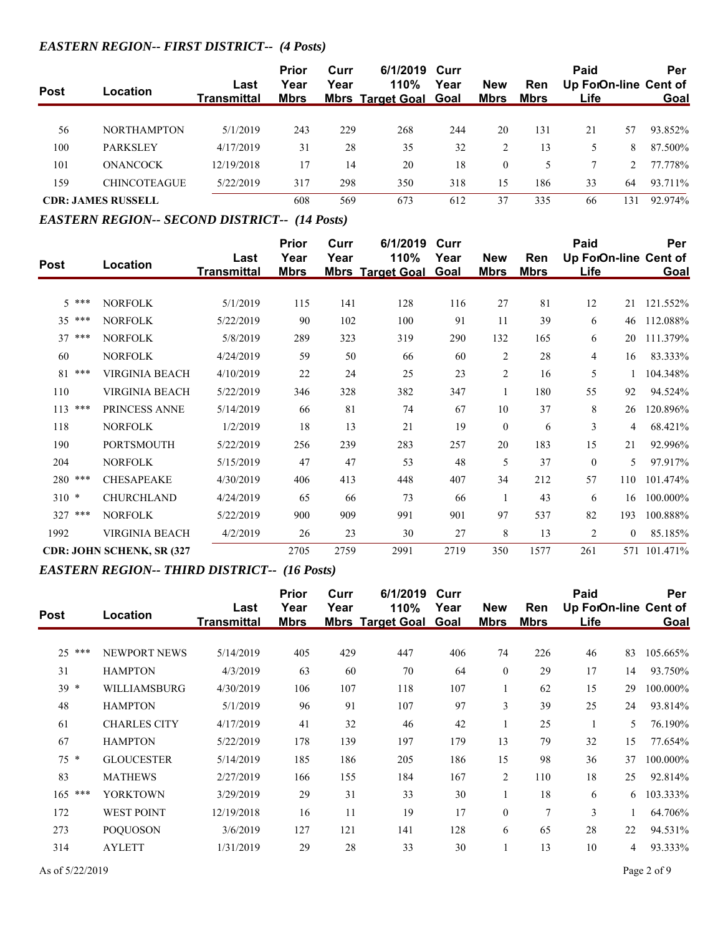#### *EASTERN REGION-- FIRST DISTRICT-- (4 Posts)*

|             |                           | Last        | <b>Prior</b><br>Year | Curr<br>Year | 6/1/2019 Curr<br><b>110%</b> | Year | <b>New</b>  | Ren         | Paid<br>Up ForOn-line Cent of |     | Per         |
|-------------|---------------------------|-------------|----------------------|--------------|------------------------------|------|-------------|-------------|-------------------------------|-----|-------------|
| <b>Post</b> | Location                  | Transmittal | <u>Mbrs</u>          |              | <b>Mbrs Target Goal Goal</b> |      | <u>Mbrs</u> | <u>Mbrs</u> | Life                          |     | <b>Goal</b> |
|             |                           |             |                      |              |                              |      |             |             |                               |     |             |
| 56          | <b>NORTHAMPTON</b>        | 5/1/2019    | 243                  | 229          | 268                          | 244  | 20          | 131         | 21                            | 57  | 93.852%     |
| 100         | <b>PARKSLEY</b>           | 4/17/2019   | 31                   | 28           | 35                           | 32   |             | 13          |                               | 8   | 87.500%     |
| 101         | <b>ONANCOCK</b>           | 12/19/2018  | 17                   | 14           | 20                           | 18   | $\theta$    |             |                               |     | 77.778%     |
| 159         | <b>CHINCOTEAGUE</b>       | 5/22/2019   | 317                  | 298          | 350                          | 318  | 15          | 186         | 33                            | 64  | 93.711%     |
|             | <b>CDR: JAMES RUSSELL</b> |             | 608                  | 569          | 673                          | 612  | 37          | 335         | 66                            | 131 | 92.974%     |

#### *EASTERN REGION-- SECOND DISTRICT-- (14 Posts)*

|             |                                   |                    | <b>Prior</b> | Curr | 6/1/2019                | Curr |                |             | Paid                  |                | Per      |
|-------------|-----------------------------------|--------------------|--------------|------|-------------------------|------|----------------|-------------|-----------------------|----------------|----------|
| <b>Post</b> | Location                          | Last               | Year         | Year | 110%                    | Year | <b>New</b>     | Ren         | Up ForOn-line Cent of |                |          |
|             |                                   | <b>Transmittal</b> | <b>Mbrs</b>  |      | <b>Mbrs Target Goal</b> | Goal | <b>Mbrs</b>    | <b>Mbrs</b> | Life                  |                | Goal     |
|             |                                   |                    |              |      |                         |      |                |             |                       |                |          |
| $5***$      | <b>NORFOLK</b>                    | 5/1/2019           | 115          | 141  | 128                     | 116  | 27             | 81          | 12                    | 21             | 121.552% |
| ***<br>35   | <b>NORFOLK</b>                    | 5/22/2019          | 90           | 102  | 100                     | 91   | 11             | 39          | 6                     | 46             | 112.088% |
| 37<br>***   | <b>NORFOLK</b>                    | 5/8/2019           | 289          | 323  | 319                     | 290  | 132            | 165         | 6                     | 20             | 111.379% |
| 60          | <b>NORFOLK</b>                    | 4/24/2019          | 59           | 50   | 66                      | 60   | $\overline{2}$ | 28          | 4                     | 16             | 83.333%  |
| ***<br>81   | <b>VIRGINIA BEACH</b>             | 4/10/2019          | 22           | 24   | 25                      | 23   | $\mathbf{2}$   | 16          | 5                     |                | 104.348% |
| 110         | <b>VIRGINIA BEACH</b>             | 5/22/2019          | 346          | 328  | 382                     | 347  | $\mathbf{1}$   | 180         | 55                    | 92             | 94.524%  |
| 113<br>***  | PRINCESS ANNE                     | 5/14/2019          | 66           | 81   | 74                      | 67   | 10             | 37          | 8                     | 26             | 120.896% |
| 118         | <b>NORFOLK</b>                    | 1/2/2019           | 18           | 13   | 21                      | 19   | $\mathbf{0}$   | 6           | 3                     | 4              | 68.421%  |
| 190         | <b>PORTSMOUTH</b>                 | 5/22/2019          | 256          | 239  | 283                     | 257  | 20             | 183         | 15                    | 21             | 92.996%  |
| 204         | <b>NORFOLK</b>                    | 5/15/2019          | 47           | 47   | 53                      | 48   | 5              | 37          | $\theta$              | 5              | 97.917%  |
| 280 ***     | <b>CHESAPEAKE</b>                 | 4/30/2019          | 406          | 413  | 448                     | 407  | 34             | 212         | 57                    | 110            | 101.474% |
| $310 *$     | <b>CHURCHLAND</b>                 | 4/24/2019          | 65           | 66   | 73                      | 66   |                | 43          | 6                     | 16             | 100.000% |
| 327 ***     | <b>NORFOLK</b>                    | 5/22/2019          | 900          | 909  | 991                     | 901  | 97             | 537         | 82                    | 193            | 100.888% |
| 1992        | <b>VIRGINIA BEACH</b>             | 4/2/2019           | 26           | 23   | 30                      | 27   | 8              | 13          | $\overline{2}$        | $\overline{0}$ | 85.185%  |
|             | <b>CDR: JOHN SCHENK, SR (327)</b> |                    | 2705         | 2759 | 2991                    | 2719 | 350            | 1577        | 261                   | 571            | 101.471% |

#### *EASTERN REGION-- THIRD DISTRICT-- (16 Posts)*

|           |                     |                            | <b>Prior</b>        | Curr | 6/1/2019                        | Curr         |                           |                    | Paid                          |    | Per      |
|-----------|---------------------|----------------------------|---------------------|------|---------------------------------|--------------|---------------------------|--------------------|-------------------------------|----|----------|
| Post      | <b>Location</b>     | Last<br><b>Transmittal</b> | Year<br><b>Mbrs</b> | Year | 110%<br><b>Mbrs Target Goal</b> | Year<br>Goal | <b>New</b><br><b>Mbrs</b> | Ren<br><b>Mbrs</b> | Up ForOn-line Cent of<br>Life |    | Goal     |
|           |                     |                            |                     |      |                                 |              |                           |                    |                               |    |          |
| $25***$   | <b>NEWPORT NEWS</b> | 5/14/2019                  | 405                 | 429  | 447                             | 406          | 74                        | 226                | 46                            | 83 | 105.665% |
| 31        | <b>HAMPTON</b>      | 4/3/2019                   | 63                  | 60   | 70                              | 64           | $\theta$                  | 29                 | 17                            | 14 | 93.750%  |
| $39 *$    | WILLIAMSBURG        | 4/30/2019                  | 106                 | 107  | 118                             | 107          |                           | 62                 | 15                            | 29 | 100.000% |
| 48        | <b>HAMPTON</b>      | 5/1/2019                   | 96                  | 91   | 107                             | 97           | 3                         | 39                 | 25                            | 24 | 93.814%  |
| 61        | <b>CHARLES CITY</b> | 4/17/2019                  | 41                  | 32   | 46                              | 42           |                           | 25                 |                               | 5  | 76.190%  |
| 67        | <b>HAMPTON</b>      | 5/22/2019                  | 178                 | 139  | 197                             | 179          | 13                        | 79                 | 32                            | 15 | 77.654%  |
| $75 *$    | <b>GLOUCESTER</b>   | 5/14/2019                  | 185                 | 186  | 205                             | 186          | 15                        | 98                 | 36                            | 37 | 100.000% |
| 83        | <b>MATHEWS</b>      | 2/27/2019                  | 166                 | 155  | 184                             | 167          | 2                         | 110                | 18                            | 25 | 92.814%  |
| $165$ *** | <b>YORKTOWN</b>     | 3/29/2019                  | 29                  | 31   | 33                              | 30           |                           | 18                 | 6                             | 6  | 103.333% |
| 172       | <b>WEST POINT</b>   | 12/19/2018                 | 16                  | 11   | 19                              | 17           | $\theta$                  | $\overline{7}$     | 3                             |    | 64.706%  |
| 273       | <b>POQUOSON</b>     | 3/6/2019                   | 127                 | 121  | 141                             | 128          | 6                         | 65                 | 28                            | 22 | 94.531%  |
| 314       | <b>AYLETT</b>       | 1/31/2019                  | 29                  | 28   | 33                              | 30           |                           | 13                 | 10                            | 4  | 93.333%  |
|           |                     |                            |                     |      |                                 |              |                           |                    |                               |    |          |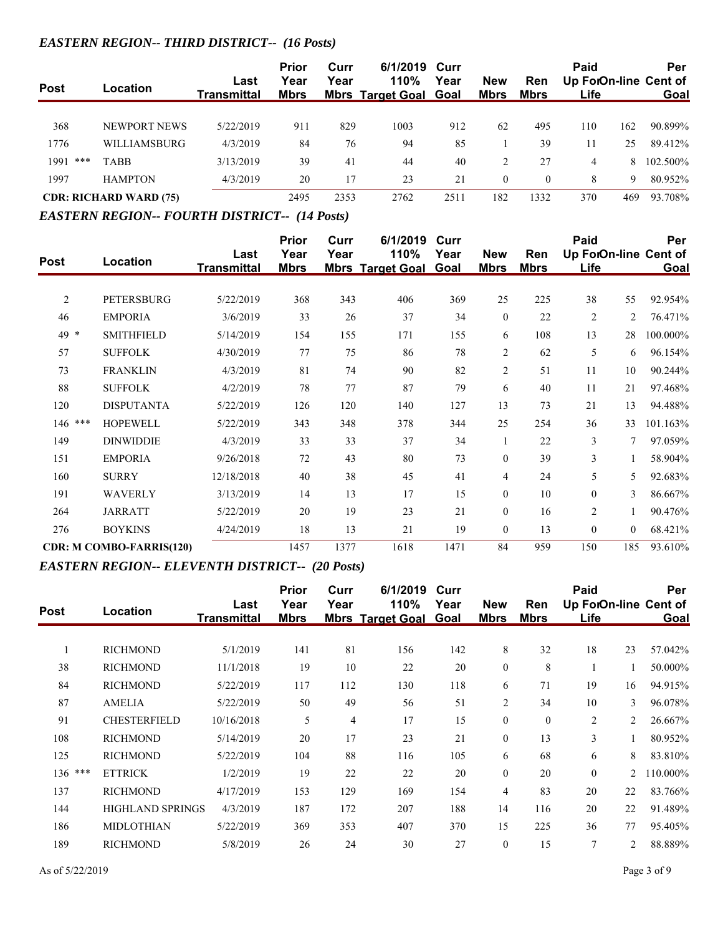## *EASTERN REGION-- THIRD DISTRICT-- (16 Posts)*

| <b>Post</b> | Location                      | Last        | <b>Prior</b><br>Year | Curr<br>Year | 6/1/2019 Curr<br>110%        | Year | <b>New</b>  | <b>Ren</b> | Paid |     | Per<br>Up ForOn-line Cent of |
|-------------|-------------------------------|-------------|----------------------|--------------|------------------------------|------|-------------|------------|------|-----|------------------------------|
|             |                               | Transmittal | <b>Mbrs</b>          |              | <b>Mbrs Target Goal Goal</b> |      | <u>Mbrs</u> | Mbrs       | Life |     | <b>Goal</b>                  |
| 368         | NEWPORT NEWS                  | 5/22/2019   | 911                  | 829          | 1003                         | 912  | 62          | 495        | 110  | 162 | 90.899%                      |
| 1776        | <b>WILLIAMSBURG</b>           | 4/3/2019    | 84                   | 76           | 94                           | 85   |             | 39         | 11   | 25  | 89.412%                      |
| ***<br>1991 | <b>TABB</b>                   | 3/13/2019   | 39                   | 41           | 44                           | 40   | 2           | 27         | 4    | 8.  | 102.500\%                    |
| 1997        | <b>HAMPTON</b>                | 4/3/2019    | 20                   | 17           | 23                           | 21   | $\Omega$    | $\theta$   | 8    | 9   | 80.952%                      |
|             | <b>CDR: RICHARD WARD (75)</b> |             | 2495                 | 2353         | 2762                         | 2511 | 182         | 1332       | 370  | 469 | 93.708%                      |

#### *EASTERN REGION-- FOURTH DISTRICT-- (14 Posts)*

|                |                                 |                            | <b>Prior</b>        | Curr | 6/1/2019                        | Curr         |                           |                    | Paid                          |                | Per         |
|----------------|---------------------------------|----------------------------|---------------------|------|---------------------------------|--------------|---------------------------|--------------------|-------------------------------|----------------|-------------|
| <b>Post</b>    | Location                        | Last<br><b>Transmittal</b> | Year<br><b>Mbrs</b> | Year | 110%<br><b>Mbrs Target Goal</b> | Year<br>Goal | <b>New</b><br><b>Mbrs</b> | Ren<br><b>Mbrs</b> | Up ForOn-line Cent of<br>Life |                | <b>Goal</b> |
| $\overline{2}$ | PETERSBURG                      | 5/22/2019                  | 368                 | 343  | 406                             | 369          | 25                        | 225                | 38                            | 55             | 92.954%     |
| 46             | <b>EMPORIA</b>                  | 3/6/2019                   | 33                  | 26   | 37                              | 34           | $\mathbf{0}$              | 22                 | $\mathfrak{2}$                | 2              | 76.471%     |
| 49 *           | <b>SMITHFIELD</b>               | 5/14/2019                  | 154                 | 155  | 171                             | 155          | 6                         | 108                | 13                            | 28             | 100.000%    |
| 57             | <b>SUFFOLK</b>                  | 4/30/2019                  | 77                  | 75   | 86                              | 78           | $\mathfrak{2}$            | 62                 | 5                             | 6              | 96.154%     |
| 73             | <b>FRANKLIN</b>                 | 4/3/2019                   | 81                  | 74   | 90                              | 82           | $\overline{c}$            | 51                 | 11                            | 10             | 90.244%     |
| 88             | <b>SUFFOLK</b>                  | 4/2/2019                   | 78                  | 77   | 87                              | 79           | 6                         | 40                 | 11                            | 21             | 97.468%     |
| 120            | <b>DISPUTANTA</b>               | 5/22/2019                  | 126                 | 120  | 140                             | 127          | 13                        | 73                 | 21                            | 13             | 94.488%     |
| 146 ***        | <b>HOPEWELL</b>                 | 5/22/2019                  | 343                 | 348  | 378                             | 344          | 25                        | 254                | 36                            | 33             | 101.163%    |
| 149            | <b>DINWIDDIE</b>                | 4/3/2019                   | 33                  | 33   | 37                              | 34           |                           | 22                 | 3                             | 7              | 97.059%     |
| 151            | <b>EMPORIA</b>                  | 9/26/2018                  | 72                  | 43   | 80                              | 73           | $\mathbf{0}$              | 39                 | 3                             | $\mathbf{1}$   | 58.904%     |
| 160            | <b>SURRY</b>                    | 12/18/2018                 | 40                  | 38   | 45                              | 41           | $\overline{4}$            | 24                 | 5                             | 5              | 92.683%     |
| 191            | <b>WAVERLY</b>                  | 3/13/2019                  | 14                  | 13   | 17                              | 15           | $\theta$                  | 10                 | $\mathbf{0}$                  | 3              | 86.667%     |
| 264            | <b>JARRATT</b>                  | 5/22/2019                  | 20                  | 19   | 23                              | 21           | $\theta$                  | 16                 | $\overline{2}$                | 1              | 90.476%     |
| 276            | <b>BOYKINS</b>                  | 4/24/2019                  | 18                  | 13   | 21                              | 19           | $\theta$                  | 13                 | $\mathbf{0}$                  | $\overline{0}$ | 68.421%     |
|                | <b>CDR: M COMBO-FARRIS(120)</b> |                            | 1457                | 1377 | 1618                            | 1471         | 84                        | 959                | 150                           | 185            | 93.610%     |

# *EASTERN REGION-- ELEVENTH DISTRICT-- (20 Posts)*

|             |                         |                            | <b>Prior</b>        | Curr | 6/1/2019                        | Curr                |                           |                    | Paid                          |                | Per      |
|-------------|-------------------------|----------------------------|---------------------|------|---------------------------------|---------------------|---------------------------|--------------------|-------------------------------|----------------|----------|
| <b>Post</b> | Location                | Last<br><b>Transmittal</b> | Year<br><b>Mbrs</b> | Year | 110%<br><b>Mbrs Target Goal</b> | Year<br><b>Goal</b> | <b>New</b><br><b>Mbrs</b> | Ren<br><b>Mbrs</b> | Up ForOn-line Cent of<br>Life |                | Goal     |
|             |                         |                            |                     |      |                                 |                     |                           |                    |                               |                |          |
|             | <b>RICHMOND</b>         | 5/1/2019                   | 141                 | 81   | 156                             | 142                 | 8                         | 32                 | 18                            | 23             | 57.042%  |
| 38          | <b>RICHMOND</b>         | 11/1/2018                  | 19                  | 10   | 22                              | 20                  | $\boldsymbol{0}$          | 8                  |                               |                | 50.000%  |
| 84          | <b>RICHMOND</b>         | 5/22/2019                  | 117                 | 112  | 130                             | 118                 | 6                         | 71                 | 19                            | 16             | 94.915%  |
| 87          | <b>AMELIA</b>           | 5/22/2019                  | 50                  | 49   | 56                              | 51                  | $\overline{2}$            | 34                 | 10                            | 3              | 96.078%  |
| 91          | <b>CHESTERFIELD</b>     | 10/16/2018                 | 5                   | 4    | 17                              | 15                  | $\mathbf{0}$              | $\mathbf{0}$       | $\overline{2}$                | $\overline{2}$ | 26.667%  |
| 108         | <b>RICHMOND</b>         | 5/14/2019                  | 20                  | 17   | 23                              | 21                  | $\mathbf{0}$              | 13                 | 3                             |                | 80.952%  |
| 125         | <b>RICHMOND</b>         | 5/22/2019                  | 104                 | 88   | 116                             | 105                 | 6                         | 68                 | 6                             | 8              | 83.810%  |
| 136 ***     | <b>ETTRICK</b>          | 1/2/2019                   | 19                  | 22   | 22                              | 20                  | $\theta$                  | 20                 | $\Omega$                      | $\overline{2}$ | 110.000% |
| 137         | <b>RICHMOND</b>         | 4/17/2019                  | 153                 | 129  | 169                             | 154                 | $\overline{4}$            | 83                 | 20                            | 22             | 83.766%  |
| 144         | <b>HIGHLAND SPRINGS</b> | 4/3/2019                   | 187                 | 172  | 207                             | 188                 | 14                        | 116                | 20                            | 22             | 91.489%  |
| 186         | <b>MIDLOTHIAN</b>       | 5/22/2019                  | 369                 | 353  | 407                             | 370                 | 15                        | 225                | 36                            | 77             | 95.405%  |
| 189         | <b>RICHMOND</b>         | 5/8/2019                   | 26                  | 24   | 30                              | 27                  | $\mathbf{0}$              | 15                 | $\overline{7}$                | 2              | 88.889%  |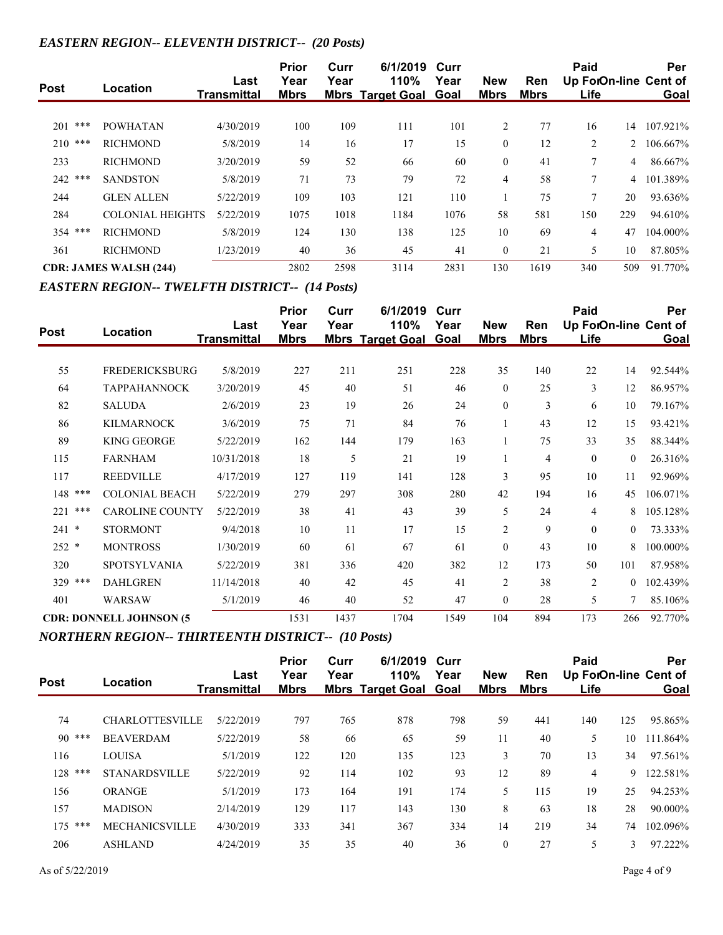#### *EASTERN REGION-- ELEVENTH DISTRICT-- (20 Posts)*

| <b>Post</b> | Location                      | Last<br>Transmittal | <b>Prior</b><br>Year<br><b>Mbrs</b> | Curr<br>Year | 6/1/2019<br>110%<br><b>Mbrs Target Goal Goal</b> | Curr<br>Year | <b>New</b><br><b>Mbrs</b> | Ren<br><b>Mbrs</b> | Paid<br>Up ForOn-line Cent of<br>Life |                      | Per<br>Goal |
|-------------|-------------------------------|---------------------|-------------------------------------|--------------|--------------------------------------------------|--------------|---------------------------|--------------------|---------------------------------------|----------------------|-------------|
| ***         |                               |                     |                                     |              |                                                  |              |                           |                    |                                       |                      |             |
| 201         | <b>POWHATAN</b>               | 4/30/2019           | 100                                 | 109          | 111                                              | 101          | $\overline{2}$            | 77                 | 16                                    | 14                   | 107.921%    |
| 210<br>***  | <b>RICHMOND</b>               | 5/8/2019            | 14                                  | 16           | 17                                               | 15           | $\theta$                  | 12                 | $\overline{2}$                        | $\mathbf{2}^{\circ}$ | 106.667%    |
| 233         | <b>RICHMOND</b>               | 3/20/2019           | 59                                  | 52           | 66                                               | 60           | $\theta$                  | 41                 | 7                                     | 4                    | 86.667%     |
| 242 ***     | <b>SANDSTON</b>               | 5/8/2019            | 71                                  | 73           | 79                                               | 72           | 4                         | 58                 | 7                                     | 4                    | 101.389%    |
| 244         | <b>GLEN ALLEN</b>             | 5/22/2019           | 109                                 | 103          | 121                                              | 110          |                           | 75                 | 7                                     | 20                   | 93.636%     |
| 284         | <b>COLONIAL HEIGHTS</b>       | 5/22/2019           | 1075                                | 1018         | 1184                                             | 1076         | 58                        | 581                | 150                                   | 229                  | 94.610\%    |
| 354 ***     | <b>RICHMOND</b>               | 5/8/2019            | 124                                 | 130          | 138                                              | 125          | 10                        | 69                 | 4                                     | 47                   | 104.000%    |
| 361         | <b>RICHMOND</b>               | 1/23/2019           | 40                                  | 36           | 45                                               | 41           | $\mathbf{0}$              | 21                 | 5                                     | 10                   | 87.805%     |
|             | <b>CDR: JAMES WALSH (244)</b> |                     | 2802                                | 2598         | 3114                                             | 2831         | 130                       | 1619               | 340                                   | 509                  | 91.770\%    |

#### *EASTERN REGION-- TWELFTH DISTRICT-- (14 Posts)*

| <b>Post</b> | Location                        | Last<br><b>Transmittal</b> | Prior<br>Year<br><b>Mbrs</b> | Curr<br>Year | 6/1/2019<br>110%<br><b>Mbrs Target Goal Goal</b> | Curr<br>Year | <b>New</b><br>Mbrs | <b>Ren</b><br><b>Mbrs</b> | Paid<br>Life   |                | Per<br>Up ForOn-line Cent of<br>Goal |
|-------------|---------------------------------|----------------------------|------------------------------|--------------|--------------------------------------------------|--------------|--------------------|---------------------------|----------------|----------------|--------------------------------------|
|             |                                 |                            |                              |              |                                                  |              |                    |                           |                |                |                                      |
| 55          | <b>FREDERICKSBURG</b>           | 5/8/2019                   | 227                          | 211          | 251                                              | 228          | 35                 | 140                       | 22             | 14             | 92.544%                              |
| 64          | <b>TAPPAHANNOCK</b>             | 3/20/2019                  | 45                           | 40           | 51                                               | 46           | $\mathbf{0}$       | 25                        | 3              | 12             | 86.957%                              |
| 82          | <b>SALUDA</b>                   | 2/6/2019                   | 23                           | 19           | 26                                               | 24           | $\mathbf{0}$       | 3                         | 6              | 10             | 79.167%                              |
| 86          | <b>KILMARNOCK</b>               | 3/6/2019                   | 75                           | 71           | 84                                               | 76           | 1                  | 43                        | 12             | 15             | 93.421%                              |
| 89          | <b>KING GEORGE</b>              | 5/22/2019                  | 162                          | 144          | 179                                              | 163          | $\mathbf{1}$       | 75                        | 33             | 35             | 88.344%                              |
| 115         | <b>FARNHAM</b>                  | 10/31/2018                 | 18                           | 5            | 21                                               | 19           | 1                  | $\overline{4}$            | $\theta$       | $\theta$       | 26.316%                              |
| 117         | <b>REEDVILLE</b>                | 4/17/2019                  | 127                          | 119          | 141                                              | 128          | 3                  | 95                        | 10             | 11             | 92.969%                              |
| 148<br>***  | <b>COLONIAL BEACH</b>           | 5/22/2019                  | 279                          | 297          | 308                                              | 280          | 42                 | 194                       | 16             | 45             | 106.071%                             |
| ***<br>221  | <b>CAROLINE COUNTY</b>          | 5/22/2019                  | 38                           | 41           | 43                                               | 39           | 5                  | 24                        | 4              | 8              | 105.128%                             |
| 241<br>*    | <b>STORMONT</b>                 | 9/4/2018                   | 10                           | 11           | 17                                               | 15           | $\overline{2}$     | 9                         | $\theta$       | $\theta$       | 73.333%                              |
| $252 *$     | <b>MONTROSS</b>                 | 1/30/2019                  | 60                           | 61           | 67                                               | 61           | $\theta$           | 43                        | 10             | 8              | 100.000%                             |
| 320         | <b>SPOTSYLVANIA</b>             | 5/22/2019                  | 381                          | 336          | 420                                              | 382          | 12                 | 173                       | 50             | 101            | 87.958%                              |
| 329 ***     | <b>DAHLGREN</b>                 | 11/14/2018                 | 40                           | 42           | 45                                               | 41           | $\overline{2}$     | 38                        | $\overline{c}$ | $\overline{0}$ | 102.439%                             |
| 401         | WARSAW                          | 5/1/2019                   | 46                           | 40           | 52                                               | 47           | $\mathbf{0}$       | 28                        | 5              | 7              | 85.106%                              |
|             | <b>CDR: DONNELL JOHNSON (5)</b> |                            | 1531                         | 1437         | 1704                                             | 1549         | 104                | 894                       | 173            | 266            | 92.770%                              |

*NORTHERN REGION-- THIRTEENTH DISTRICT-- (10 Posts)*

| <b>Post</b> | Location               | Last<br><b>Transmittal</b> | <b>Prior</b><br>Year<br><b>Mbrs</b> | Curr<br>Year | 6/1/2019 Curr<br>110%<br><b>Mbrs Target Goal Goal</b> | Year | <b>New</b><br><b>Mbrs</b> | <b>Ren</b><br>Mbrs | Paid<br>Up ForOn-line Cent of<br>Life |     | Per<br>Goal |
|-------------|------------------------|----------------------------|-------------------------------------|--------------|-------------------------------------------------------|------|---------------------------|--------------------|---------------------------------------|-----|-------------|
|             |                        |                            |                                     |              |                                                       |      |                           |                    |                                       |     |             |
| 74          | <b>CHARLOTTESVILLE</b> | 5/22/2019                  | 797                                 | 765          | 878                                                   | 798  | 59                        | 441                | 140                                   | 125 | 95.865%     |
| $90***$     | <b>BEAVERDAM</b>       | 5/22/2019                  | 58                                  | 66           | 65                                                    | 59   | 11                        | 40                 | 5                                     | 10  | 111.864%    |
| 116         | <b>LOUISA</b>          | 5/1/2019                   | 122                                 | 120          | 135                                                   | 123  | 3                         | 70                 | 13                                    | 34  | 97.561%     |
| ***<br>128  | <b>STANARDSVILLE</b>   | 5/22/2019                  | 92                                  | 114          | 102                                                   | 93   | 12                        | 89                 | 4                                     | 9   | 122.581%    |
| 156         | <b>ORANGE</b>          | 5/1/2019                   | 173                                 | 164          | 191                                                   | 174  | 5                         | 115                | 19                                    | 25  | 94.253%     |
| 157         | <b>MADISON</b>         | 2/14/2019                  | 129                                 | 117          | 143                                                   | 130  | 8                         | 63                 | 18                                    | 28  | 90.000%     |
| $175$ ***   | <b>MECHANICSVILLE</b>  | 4/30/2019                  | 333                                 | 341          | 367                                                   | 334  | 14                        | 219                | 34                                    | 74  | 102.096%    |
| 206         | <b>ASHLAND</b>         | 4/24/2019                  | 35                                  | 35           | 40                                                    | 36   | $\boldsymbol{0}$          | 27                 | 5                                     | 3   | 97.222%     |
|             |                        |                            |                                     |              |                                                       |      |                           |                    |                                       |     |             |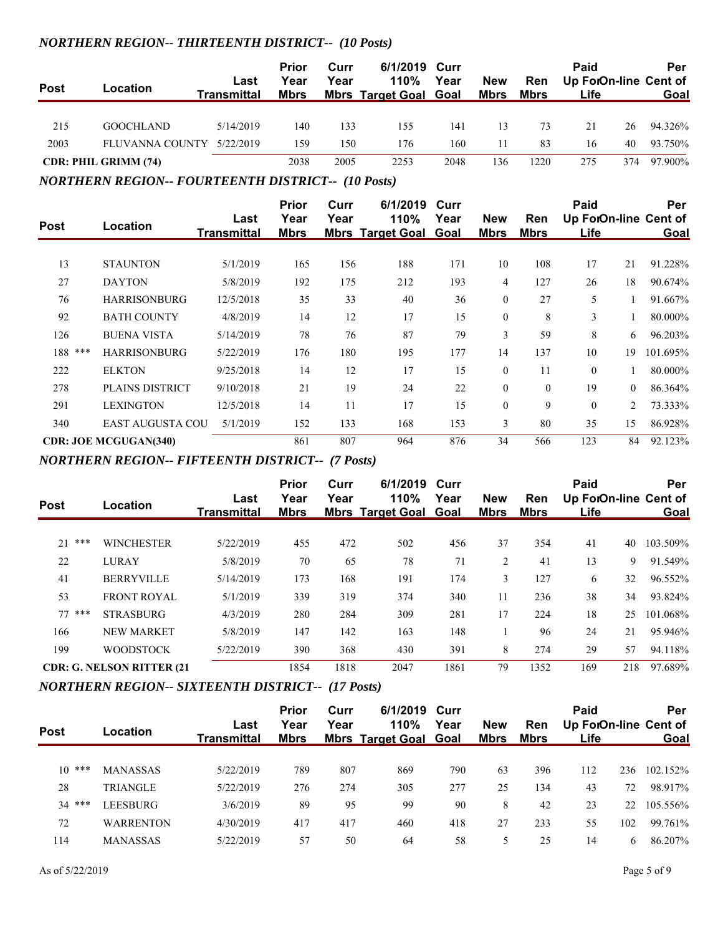#### *NORTHERN REGION-- THIRTEENTH DISTRICT-- (10 Posts)*

| <b>Post</b> | Location                    | Last<br>Transmittal | <b>Prior</b><br>Year<br><b>Mbrs</b> | Curr<br>Year | 6/1/2019 Curr<br>110%<br><b>Mbrs Target Goal Goal</b> | Year | <b>New</b><br><u>Mbrs</u> | Ren<br>Mbrs | Paid<br>Up ForOn-line Cent of<br>Life |     | Per<br>Goal |
|-------------|-----------------------------|---------------------|-------------------------------------|--------------|-------------------------------------------------------|------|---------------------------|-------------|---------------------------------------|-----|-------------|
| 215         | <b>GOOCHLAND</b>            | 5/14/2019           | 140                                 | 133          | 155                                                   | 141  | 13                        | 73          | 21                                    | 26  | 94.326%     |
| 2003        | FLUVANNA COUNTY             | 5/22/2019           | 159                                 | 150          | 176                                                   | 160  | 11                        | 83          | 16                                    | 40  | 93.750%     |
|             | <b>CDR: PHIL GRIMM (74)</b> |                     | 2038                                | 2005         | 2253                                                  | 2048 | 136                       | 1220        | 275                                   | 374 | 97.900%     |

*NORTHERN REGION-- FOURTEENTH DISTRICT-- (10 Posts)*

| <b>Post</b> | Location                     | Last<br><b>Transmittal</b> | <b>Prior</b><br>Year<br><b>Mbrs</b> | Curr<br>Year | 6/1/2019<br>110%<br><b>Mbrs Target Goal Goal</b> | Curr<br>Year | <b>New</b><br><b>Mbrs</b> | Ren<br><b>Mbrs</b> | Paid<br>Up ForOn-line Cent of<br>Life |                | Per<br>Goal |
|-------------|------------------------------|----------------------------|-------------------------------------|--------------|--------------------------------------------------|--------------|---------------------------|--------------------|---------------------------------------|----------------|-------------|
|             |                              |                            |                                     |              |                                                  |              |                           |                    |                                       |                |             |
| 13          | <b>STAUNTON</b>              | 5/1/2019                   | 165                                 | 156          | 188                                              | 171          | 10                        | 108                | 17                                    | 21             | 91.228%     |
| 27          | <b>DAYTON</b>                | 5/8/2019                   | 192                                 | 175          | 212                                              | 193          | 4                         | 127                | 26                                    | 18             | 90.674%     |
| 76          | <b>HARRISONBURG</b>          | 12/5/2018                  | 35                                  | 33           | 40                                               | 36           | $\mathbf{0}$              | 27                 | 5                                     |                | 91.667%     |
| 92          | <b>BATH COUNTY</b>           | 4/8/2019                   | 14                                  | 12           | 17                                               | 15           | $\mathbf{0}$              | 8                  | 3                                     |                | 80.000%     |
| 126         | <b>BUENA VISTA</b>           | 5/14/2019                  | 78                                  | 76           | 87                                               | 79           | 3                         | 59                 | 8                                     | 6              | 96.203%     |
| 188 ***     | <b>HARRISONBURG</b>          | 5/22/2019                  | 176                                 | 180          | 195                                              | 177          | 14                        | 137                | 10                                    | 19             | 101.695%    |
| 222         | <b>ELKTON</b>                | 9/25/2018                  | 14                                  | 12           | 17                                               | 15           | $\theta$                  | 11                 | $\theta$                              |                | 80.000%     |
| 278         | PLAINS DISTRICT              | 9/10/2018                  | 21                                  | 19           | 24                                               | 22           | $\mathbf{0}$              | $\mathbf{0}$       | 19                                    | $\overline{0}$ | 86.364%     |
| 291         | <b>LEXINGTON</b>             | 12/5/2018                  | 14                                  | 11           | 17                                               | 15           | $\mathbf{0}$              | 9                  | $\mathbf{0}$                          | 2              | 73.333%     |
| 340         | <b>EAST AUGUSTA COU</b>      | 5/1/2019                   | 152                                 | 133          | 168                                              | 153          | 3                         | 80                 | 35                                    | 15             | 86.928%     |
|             | <b>CDR: JOE MCGUGAN(340)</b> |                            | 861                                 | 807          | 964                                              | 876          | 34                        | 566                | 123                                   | 84             | 92.123%     |

#### *NORTHERN REGION-- FIFTEENTH DISTRICT-- (7 Posts)*

|             |                                   | Last               | Prior<br>Year | Curr<br>Year | 6/1/2019 Curr<br>110%        | Year | <b>New</b>     | <b>Ren</b> | Paid<br>Up ForOn-line Cent of |     | Per      |
|-------------|-----------------------------------|--------------------|---------------|--------------|------------------------------|------|----------------|------------|-------------------------------|-----|----------|
| <b>Post</b> | Location                          | <b>Transmittal</b> | <b>Mbrs</b>   |              | <b>Mbrs Target Goal Goal</b> |      | <b>Mbrs</b>    | Mbrs       | Life                          |     | Goal     |
| 2.1<br>***  | <b>WINCHESTER</b>                 | 5/22/2019          | 455           | 472          | 502                          | 456  | 37             | 354        | 41                            | 40  | 103.509% |
| 22          | <b>LURAY</b>                      | 5/8/2019           | 70            | 65           | 78                           | 71   | $\overline{2}$ | 41         | 13                            | 9   | 91.549%  |
| 41          | <b>BERRYVILLE</b>                 | 5/14/2019          | 173           | 168          | 191                          | 174  | 3              | 127        | 6                             | 32  | 96.552%  |
| 53          | <b>FRONT ROYAL</b>                | 5/1/2019           | 339           | 319          | 374                          | 340  | 11             | 236        | 38                            | 34  | 93.824%  |
| $77***$     | <b>STRASBURG</b>                  | 4/3/2019           | 280           | 284          | 309                          | 281  | 17             | 224        | 18                            | 25  | 101.068% |
| 166         | <b>NEW MARKET</b>                 | 5/8/2019           | 147           | 142          | 163                          | 148  |                | 96         | 24                            | 21  | 95.946%  |
| 199         | <b>WOODSTOCK</b>                  | 5/22/2019          | 390           | 368          | 430                          | 391  | 8              | 274        | 29                            | 57  | 94.118%  |
|             | <b>CDR: G. NELSON RITTER (21)</b> |                    | 1854          | 1818         | 2047                         | 1861 | 79             | 1352       | 169                           | 218 | 97.689%  |

#### *NORTHERN REGION-- SIXTEENTH DISTRICT-- (17 Posts)*

|             |                  | Last        | Prior<br>Year | Curr<br>Year | 6/1/2019 Curr<br>110%        | Year | <b>New</b>  | Ren  | Paid |     | Per<br>Up ForOn-line Cent of |
|-------------|------------------|-------------|---------------|--------------|------------------------------|------|-------------|------|------|-----|------------------------------|
| <b>Post</b> | Location         | Transmittal | <b>Mbrs</b>   |              | <b>Mbrs Target Goal Goal</b> |      | <b>Mbrs</b> | Mbrs | Life |     | Goal                         |
|             |                  |             |               |              |                              |      |             |      |      |     |                              |
| ***<br>10   | <b>MANASSAS</b>  | 5/22/2019   | 789           | 807          | 869                          | 790  | 63          | 396  | 112  | 236 | 102.152%                     |
| 28          | <b>TRIANGLE</b>  | 5/22/2019   | 276           | 274          | 305                          | 277  | 25          | 134  | 43   | 72  | 98.917%                      |
| $34$ ***    | LEESBURG         | 3/6/2019    | 89            | 95           | 99                           | 90   | 8           | 42   | 23   | 22  | 105.556%                     |
| 72          | <b>WARRENTON</b> | 4/30/2019   | 417           | 417          | 460                          | 418  | 27          | 233  | 55   | 102 | 99.761%                      |
| 114         | <b>MANASSAS</b>  | 5/22/2019   | 57            | 50           | 64                           | 58   | 5           | 25   | 14   | 6   | 86.207%                      |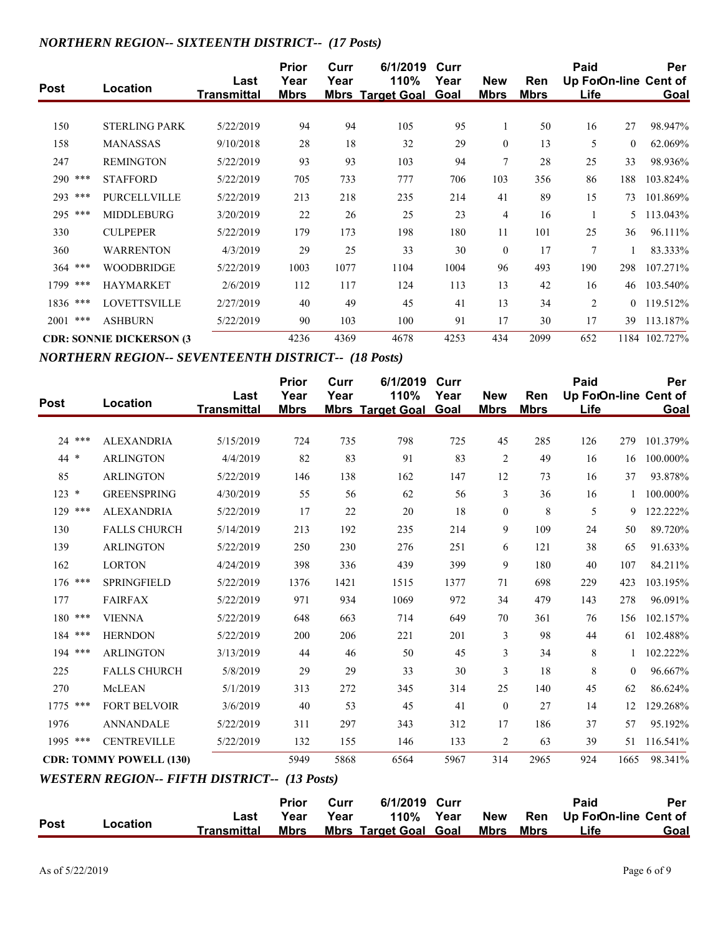#### *NORTHERN REGION-- SIXTEENTH DISTRICT-- (17 Posts)*

| <b>Post</b> | Location                         | Last<br><b>Transmittal</b> | <b>Prior</b><br>Year<br><b>Mbrs</b> | Curr<br>Year | 6/1/2019<br>110%<br><b>Mbrs Target Goal Goal</b> | Curr<br>Year | <b>New</b><br><b>Mbrs</b> | Ren<br><b>Mbrs</b> | Paid<br>Up ForOn-line Cent of<br><u>Life</u> |          | Per<br><b>Goal</b> |
|-------------|----------------------------------|----------------------------|-------------------------------------|--------------|--------------------------------------------------|--------------|---------------------------|--------------------|----------------------------------------------|----------|--------------------|
|             |                                  |                            |                                     |              |                                                  |              |                           |                    |                                              |          |                    |
| 150         | <b>STERLING PARK</b>             | 5/22/2019                  | 94                                  | 94           | 105                                              | 95           | $\perp$                   | 50                 | 16                                           | 27       | 98.947%            |
| 158         | <b>MANASSAS</b>                  | 9/10/2018                  | 28                                  | 18           | 32                                               | 29           | $\mathbf{0}$              | 13                 | 5                                            | $\theta$ | 62.069%            |
| 247         | <b>REMINGTON</b>                 | 5/22/2019                  | 93                                  | 93           | 103                                              | 94           | $\overline{7}$            | 28                 | 25                                           | 33       | 98.936%            |
| 290 ***     | <b>STAFFORD</b>                  | 5/22/2019                  | 705                                 | 733          | 777                                              | 706          | 103                       | 356                | 86                                           | 188      | 103.824%           |
| 293 ***     | <b>PURCELLVILLE</b>              | 5/22/2019                  | 213                                 | 218          | 235                                              | 214          | 41                        | 89                 | 15                                           | 73       | 101.869%           |
| 295 ***     | <b>MIDDLEBURG</b>                | 3/20/2019                  | 22                                  | 26           | 25                                               | 23           | $\overline{4}$            | 16                 |                                              | 5.       | 113.043%           |
| 330         | <b>CULPEPER</b>                  | 5/22/2019                  | 179                                 | 173          | 198                                              | 180          | 11                        | 101                | 25                                           | 36       | 96.111%            |
| 360         | <b>WARRENTON</b>                 | 4/3/2019                   | 29                                  | 25           | 33                                               | 30           | $\mathbf{0}$              | 17                 | 7                                            |          | 83.333%            |
| $364$ ***   | <b>WOODBRIDGE</b>                | 5/22/2019                  | 1003                                | 1077         | 1104                                             | 1004         | 96                        | 493                | 190                                          | 298      | 107.271%           |
| 1799 ***    | <b>HAYMARKET</b>                 | 2/6/2019                   | 112                                 | 117          | 124                                              | 113          | 13                        | 42                 | 16                                           | 46       | 103.540%           |
| 1836 ***    | <b>LOVETTSVILLE</b>              | 2/27/2019                  | 40                                  | 49           | 45                                               | 41           | 13                        | 34                 | $\overline{2}$                               | $\theta$ | 119.512%           |
| 2001<br>*** | <b>ASHBURN</b>                   | 5/22/2019                  | 90                                  | 103          | 100                                              | 91           | 17                        | 30                 | 17                                           | 39       | 113.187%           |
|             | <b>CDR: SONNIE DICKERSON (3)</b> |                            | 4236                                | 4369         | 4678                                             | 4253         | 434                       | 2099               | 652                                          |          | 1184 102.727%      |

*NORTHERN REGION-- SEVENTEENTH DISTRICT-- (18 Posts)*

| <b>Post</b> | Location                                            | Last<br><b>Transmittal</b> | <b>Prior</b><br>Year<br><b>Mbrs</b> | Curr<br>Year | 6/1/2019<br>110%<br><b>Mbrs Target Goal</b> | Curr<br>Year<br>Goal | <b>New</b><br><b>Mbrs</b> | Ren<br><b>Mbrs</b> | Paid<br>Up ForOn-line Cent of<br>Life |              | Per<br>Goal |
|-------------|-----------------------------------------------------|----------------------------|-------------------------------------|--------------|---------------------------------------------|----------------------|---------------------------|--------------------|---------------------------------------|--------------|-------------|
| 24 ***      | <b>ALEXANDRIA</b>                                   | 5/15/2019                  | 724                                 | 735          | 798                                         | 725                  | 45                        | 285                | 126                                   | 279          | 101.379%    |
| 44 *        | <b>ARLINGTON</b>                                    | 4/4/2019                   | 82                                  | 83           | 91                                          | 83                   | $\overline{2}$            | 49                 | 16                                    | 16           | 100.000%    |
| 85          | <b>ARLINGTON</b>                                    | 5/22/2019                  | 146                                 | 138          | 162                                         | 147                  | 12                        | 73                 | 16                                    | 37           | 93.878%     |
| $123 *$     | <b>GREENSPRING</b>                                  | 4/30/2019                  | 55                                  | 56           | 62                                          | 56                   | $\overline{3}$            | 36                 | 16                                    | $\mathbf{1}$ | 100.000%    |
| 129 ***     | <b>ALEXANDRIA</b>                                   | 5/22/2019                  | 17                                  | 22           | 20                                          | 18                   | $\mathbf{0}$              | 8                  | 5                                     | 9            | 122.222%    |
| 130         | <b>FALLS CHURCH</b>                                 | 5/14/2019                  | 213                                 | 192          | 235                                         | 214                  | 9                         | 109                | 24                                    | 50           | 89.720%     |
| 139         | <b>ARLINGTON</b>                                    | 5/22/2019                  | 250                                 | 230          | 276                                         | 251                  | 6                         | 121                | 38                                    | 65           | 91.633%     |
| 162         | <b>LORTON</b>                                       | 4/24/2019                  | 398                                 | 336          | 439                                         | 399                  | 9                         | 180                | 40                                    | 107          | 84.211%     |
| 176 ***     | <b>SPRINGFIELD</b>                                  | 5/22/2019                  | 1376                                | 1421         | 1515                                        | 1377                 | 71                        | 698                | 229                                   | 423          | 103.195%    |
| 177         | <b>FAIRFAX</b>                                      | 5/22/2019                  | 971                                 | 934          | 1069                                        | 972                  | 34                        | 479                | 143                                   | 278          | 96.091%     |
| 180 ***     | <b>VIENNA</b>                                       | 5/22/2019                  | 648                                 | 663          | 714                                         | 649                  | 70                        | 361                | 76                                    | 156          | 102.157%    |
| 184 ***     | <b>HERNDON</b>                                      | 5/22/2019                  | 200                                 | 206          | 221                                         | 201                  | $\overline{3}$            | 98                 | 44                                    | 61           | 102.488%    |
| 194 ***     | <b>ARLINGTON</b>                                    | 3/13/2019                  | 44                                  | 46           | 50                                          | 45                   | $\overline{3}$            | 34                 | 8                                     |              | 102.222%    |
| 225         | <b>FALLS CHURCH</b>                                 | 5/8/2019                   | 29                                  | 29           | 33                                          | 30                   | 3                         | 18                 | $\,$ 8 $\,$                           | $\mathbf{0}$ | 96.667%     |
| 270         | McLEAN                                              | 5/1/2019                   | 313                                 | 272          | 345                                         | 314                  | 25                        | 140                | 45                                    | 62           | 86.624%     |
| ***<br>1775 | <b>FORT BELVOIR</b>                                 | 3/6/2019                   | 40                                  | 53           | 45                                          | 41                   | $\theta$                  | 27                 | 14                                    | 12           | 129.268%    |
| 1976        | <b>ANNANDALE</b>                                    | 5/22/2019                  | 311                                 | 297          | 343                                         | 312                  | 17                        | 186                | 37                                    | 57           | 95.192%     |
| 1995 ***    | <b>CENTREVILLE</b>                                  | 5/22/2019                  | 132                                 | 155          | 146                                         | 133                  | $\overline{2}$            | 63                 | 39                                    | 51           | 116.541%    |
|             | <b>CDR: TOMMY POWELL (130)</b>                      |                            | 5949                                | 5868         | 6564                                        | 5967                 | 314                       | 2965               | 924                                   | 1665         | 98.341%     |
|             | <b>WESTERN REGION-- FIFTH DISTRICT-- (13 Posts)</b> |                            |                                     |              |                                             |                      |                           |                    |                                       |              |             |
|             |                                                     |                            | <b>Prior</b>                        | Curr         | 6/1/2019                                    | Curr                 |                           |                    | Paid                                  |              | Per         |
| <b>Post</b> | Location                                            | Last<br><b>Transmittal</b> | Year<br><b>Mbrs</b>                 | Year         | 110%<br><b>Mbrs Target Goal Goal</b>        | Year                 | <b>New</b><br><b>Mbrs</b> | Ren<br><b>Mbrs</b> | Up ForOn-line Cent of<br>Life         |              | Goal        |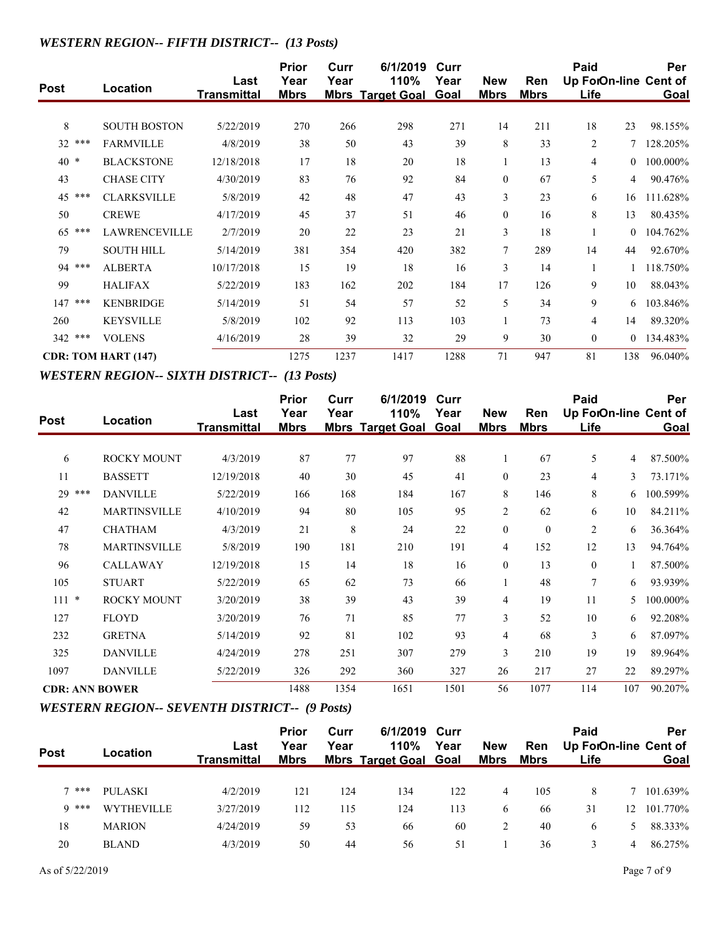## *WESTERN REGION-- FIFTH DISTRICT-- (13 Posts)*

| <b>Post</b> | Location                   | Last<br><b>Transmittal</b> | <b>Prior</b><br>Year<br><b>Mbrs</b> | Curr<br>Year | 6/1/2019<br>110%<br><b>Mbrs Target Goal</b> | Curr<br>Year<br>Goal | <b>New</b><br><b>Mbrs</b> | Ren<br><b>Mbrs</b> | Paid<br>Up ForOn-line Cent of<br><b>Life</b> |                | Per<br><u>Goal</u> |
|-------------|----------------------------|----------------------------|-------------------------------------|--------------|---------------------------------------------|----------------------|---------------------------|--------------------|----------------------------------------------|----------------|--------------------|
|             |                            |                            |                                     |              |                                             |                      |                           |                    |                                              |                |                    |
| 8           | <b>SOUTH BOSTON</b>        | 5/22/2019                  | 270                                 | 266          | 298                                         | 271                  | 14                        | 211                | 18                                           | 23             | 98.155%            |
| $32***$     | <b>FARMVILLE</b>           | 4/8/2019                   | 38                                  | 50           | 43                                          | 39                   | 8                         | 33                 | 2                                            |                | 128.205%           |
| $40*$       | <b>BLACKSTONE</b>          | 12/18/2018                 | 17                                  | 18           | 20                                          | 18                   |                           | 13                 | 4                                            | $\overline{0}$ | 100.000%           |
| 43          | <b>CHASE CITY</b>          | 4/30/2019                  | 83                                  | 76           | 92                                          | 84                   | $\mathbf{0}$              | 67                 | 5                                            | 4              | 90.476%            |
| 45 ***      | <b>CLARKSVILLE</b>         | 5/8/2019                   | 42                                  | 48           | 47                                          | 43                   | 3                         | 23                 | 6                                            | 16             | 111.628%           |
| 50          | <b>CREWE</b>               | 4/17/2019                  | 45                                  | 37           | 51                                          | 46                   | $\mathbf{0}$              | 16                 | 8                                            | 13             | 80.435%            |
| ***<br>65   | <b>LAWRENCEVILLE</b>       | 2/7/2019                   | 20                                  | 22           | 23                                          | 21                   | 3                         | 18                 |                                              | $\Omega$       | 104.762%           |
| 79          | <b>SOUTH HILL</b>          | 5/14/2019                  | 381                                 | 354          | 420                                         | 382                  | 7                         | 289                | 14                                           | 44             | 92.670%            |
| 94 ***      | <b>ALBERTA</b>             | 10/17/2018                 | 15                                  | 19           | 18                                          | 16                   | 3                         | 14                 |                                              |                | 118.750%           |
| 99          | <b>HALIFAX</b>             | 5/22/2019                  | 183                                 | 162          | 202                                         | 184                  | 17                        | 126                | 9                                            | 10             | 88.043%            |
| ***<br>147  | <b>KENBRIDGE</b>           | 5/14/2019                  | 51                                  | 54           | 57                                          | 52                   | 5                         | 34                 | 9                                            | 6              | 103.846%           |
| 260         | <b>KEYSVILLE</b>           | 5/8/2019                   | 102                                 | 92           | 113                                         | 103                  | $\mathbf{1}$              | 73                 | 4                                            | 14             | 89.320%            |
| 342 ***     | <b>VOLENS</b>              | 4/16/2019                  | 28                                  | 39           | 32                                          | 29                   | 9                         | 30                 | $\mathbf{0}$                                 | $\overline{0}$ | 134.483%           |
|             | <b>CDR: TOM HART (147)</b> |                            | 1275                                | 1237         | 1417                                        | 1288                 | 71                        | 947                | 81                                           | 138            | 96.040%            |

#### *WESTERN REGION-- SIXTH DISTRICT-- (13 Posts)*

| <b>Post</b>           | Location            | Last<br><b>Transmittal</b> | <b>Prior</b><br>Year<br><b>Mbrs</b> | Curr<br>Year | 6/1/2019<br>110%<br><b>Mbrs Target Goal Goal</b> | Curr<br>Year | <b>New</b><br><b>Mbrs</b> | Ren<br><b>Mbrs</b> | Paid<br>Up ForOn-line Cent of<br><b>Life</b> |     | Per<br><b>Goal</b> |
|-----------------------|---------------------|----------------------------|-------------------------------------|--------------|--------------------------------------------------|--------------|---------------------------|--------------------|----------------------------------------------|-----|--------------------|
|                       |                     |                            |                                     |              |                                                  |              |                           |                    |                                              |     |                    |
| 6                     | <b>ROCKY MOUNT</b>  | 4/3/2019                   | 87                                  | 77           | 97                                               | 88           | 1                         | 67                 | 5                                            | 4   | 87.500%            |
| 11                    | <b>BASSETT</b>      | 12/19/2018                 | 40                                  | 30           | 45                                               | 41           | $\mathbf{0}$              | 23                 | 4                                            | 3   | 73.171%            |
| 29 ***                | <b>DANVILLE</b>     | 5/22/2019                  | 166                                 | 168          | 184                                              | 167          | 8                         | 146                | 8                                            | 6   | 100.599%           |
| 42                    | <b>MARTINSVILLE</b> | 4/10/2019                  | 94                                  | 80           | 105                                              | 95           | $\overline{2}$            | 62                 | 6                                            | 10  | 84.211%            |
| 47                    | <b>CHATHAM</b>      | 4/3/2019                   | 21                                  | 8            | 24                                               | 22           | $\boldsymbol{0}$          | $\boldsymbol{0}$   | $\overline{c}$                               | 6   | 36.364%            |
| 78                    | <b>MARTINSVILLE</b> | 5/8/2019                   | 190                                 | 181          | 210                                              | 191          | $\overline{4}$            | 152                | 12                                           | 13  | 94.764%            |
| 96                    | <b>CALLAWAY</b>     | 12/19/2018                 | 15                                  | 14           | 18                                               | 16           | $\theta$                  | 13                 | $\theta$                                     | 1   | 87.500%            |
| 105                   | <b>STUART</b>       | 5/22/2019                  | 65                                  | 62           | 73                                               | 66           |                           | 48                 | $\overline{7}$                               | 6   | 93.939%            |
| $111 *$               | <b>ROCKY MOUNT</b>  | 3/20/2019                  | 38                                  | 39           | 43                                               | 39           | $\overline{4}$            | 19                 | 11                                           | 5.  | 100.000%           |
| 127                   | <b>FLOYD</b>        | 3/20/2019                  | 76                                  | 71           | 85                                               | 77           | 3                         | 52                 | 10                                           | 6   | 92.208%            |
| 232                   | <b>GRETNA</b>       | 5/14/2019                  | 92                                  | 81           | 102                                              | 93           | $\overline{4}$            | 68                 | 3                                            | 6   | 87.097%            |
| 325                   | <b>DANVILLE</b>     | 4/24/2019                  | 278                                 | 251          | 307                                              | 279          | 3                         | 210                | 19                                           | 19  | 89.964%            |
| 1097                  | <b>DANVILLE</b>     | 5/22/2019                  | 326                                 | 292          | 360                                              | 327          | 26                        | 217                | 27                                           | 22  | 89.297%            |
| <b>CDR: ANN BOWER</b> |                     |                            | 1488                                | 1354         | 1651                                             | 1501         | 56                        | 1077               | 114                                          | 107 | 90.207%            |

## *WESTERN REGION-- SEVENTH DISTRICT-- (9 Posts)*

| <b>Post</b> | Location          | Last<br><b>Transmittal</b> | <b>Prior</b><br>Year<br><b>Mbrs</b> | Curr<br>Year | 6/1/2019 Curr<br>110%<br><b>Mbrs Target Goal Goal</b> | Year | <b>New</b><br><b>Mbrs</b> | Ren<br><u>Mbrs</u> | Paid<br>Life |    | Per<br>Up ForOn-line Cent of<br><b>Goal</b> |
|-------------|-------------------|----------------------------|-------------------------------------|--------------|-------------------------------------------------------|------|---------------------------|--------------------|--------------|----|---------------------------------------------|
|             |                   |                            |                                     |              |                                                       |      |                           |                    |              |    |                                             |
| $7$ ***     | PULASKI           | 4/2/2019                   | 121                                 | 124          | 134                                                   | 122  | 4                         | 105                | 8            |    | 101.639%                                    |
| $Q$ ***     | <b>WYTHEVILLE</b> | 3/27/2019                  | 112                                 | 115          | 124                                                   | 113  | 6                         | 66                 | 31           | 12 | 101.770\%                                   |
| 18          | <b>MARION</b>     | 4/24/2019                  | 59                                  | 53           | 66                                                    | 60   |                           | 40                 | 6            | 5. | 88.333%                                     |
| 20          | <b>BLAND</b>      | 4/3/2019                   | 50                                  | 44           | 56                                                    | 51   |                           | 36                 | 3            | 4  | 86.275%                                     |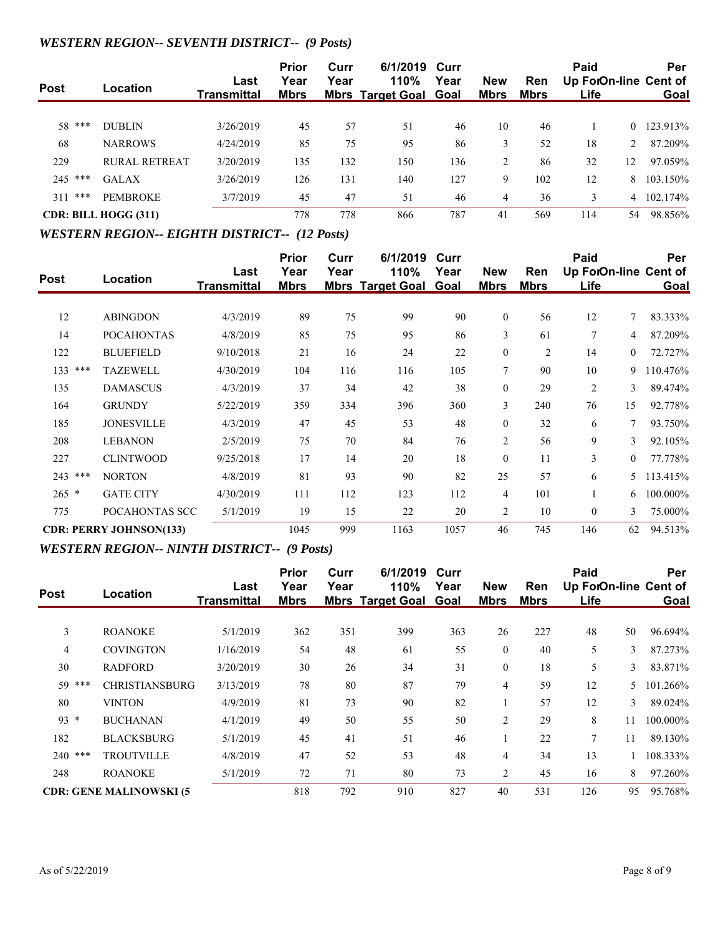## *WESTERN REGION-- SEVENTH DISTRICT-- (9 Posts)*

| <b>Post</b> | Location                    | Last<br>Transmittal | Prior<br>Year<br><u>Mbrs</u> | Curr<br>Year | 6/1/2019 Curr<br>110%<br><b>Mbrs Target Goal Goal</b> | Year | <b>New</b><br><u>Mbrs</u> | <b>Ren</b><br>Mbrs | Paid<br>Life |    | Per<br>Up ForOn-line Cent of<br><b>Goal</b> |
|-------------|-----------------------------|---------------------|------------------------------|--------------|-------------------------------------------------------|------|---------------------------|--------------------|--------------|----|---------------------------------------------|
|             |                             |                     |                              |              |                                                       |      |                           |                    |              |    |                                             |
| 58 ***      | <b>DUBLIN</b>               | 3/26/2019           | 45                           | 57           | 51                                                    | 46   | 10                        | 46                 |              | 0  | 123.913%                                    |
| 68          | <b>NARROWS</b>              | 4/24/2019           | 85                           | 75           | 95                                                    | 86   | 3                         | 52                 | 18           |    | 87.209%                                     |
| 229         | <b>RURAL RETREAT</b>        | 3/20/2019           | 135                          | 132          | 150                                                   | 136  | 2                         | 86                 | 32           | 12 | 97.059%                                     |
| $245$ ***   | <b>GALAX</b>                | 3/26/2019           | 126                          | 131          | 140                                                   | 127  | 9                         | 102                | 12           | 8. | 103.150%                                    |
| ***<br>311  | <b>PEMBROKE</b>             | 3/7/2019            | 45                           | 47           | 51                                                    | 46   | $\overline{4}$            | 36                 | 3            | 4  | 102.174%                                    |
|             | <b>CDR: BILL HOGG (311)</b> |                     | 778                          | 778          | 866                                                   | 787  | 41                        | 569                | 114          | 54 | 98.856%                                     |

#### *WESTERN REGION-- EIGHTH DISTRICT-- (12 Posts)*

| <b>Post</b> | Location                       | Last<br><b>Transmittal</b> | <b>Prior</b><br>Year<br><b>Mbrs</b> | Curr<br>Year | 6/1/2019<br>110%<br><b>Mbrs Target Goal</b> | Curr<br>Year<br>Goal | <b>New</b><br><b>Mbrs</b> | Ren<br><b>Mbrs</b> | Paid<br>Life   |                | Per<br>Up ForOn-line Cent of<br>Goal |
|-------------|--------------------------------|----------------------------|-------------------------------------|--------------|---------------------------------------------|----------------------|---------------------------|--------------------|----------------|----------------|--------------------------------------|
|             |                                |                            |                                     |              |                                             |                      |                           |                    |                |                |                                      |
| 12          | <b>ABINGDON</b>                | 4/3/2019                   | 89                                  | 75           | 99                                          | 90                   | $\theta$                  | 56                 | 12             | 7              | 83.333%                              |
| 14          | <b>POCAHONTAS</b>              | 4/8/2019                   | 85                                  | 75           | 95                                          | 86                   | 3                         | 61                 | $\overline{7}$ | 4              | 87.209%                              |
| 122         | <b>BLUEFIELD</b>               | 9/10/2018                  | 21                                  | 16           | 24                                          | 22                   | $\mathbf{0}$              | 2                  | 14             | $\Omega$       | 72.727%                              |
| 133<br>***  | <b>TAZEWELL</b>                | 4/30/2019                  | 104                                 | 116          | 116                                         | 105                  | $\overline{7}$            | 90                 | 10             | 9              | 110.476%                             |
| 135         | <b>DAMASCUS</b>                | 4/3/2019                   | 37                                  | 34           | 42                                          | 38                   | $\mathbf{0}$              | 29                 | 2              | 3              | 89.474%                              |
| 164         | <b>GRUNDY</b>                  | 5/22/2019                  | 359                                 | 334          | 396                                         | 360                  | 3                         | 240                | 76             | 15             | 92.778%                              |
| 185         | <b>JONESVILLE</b>              | 4/3/2019                   | 47                                  | 45           | 53                                          | 48                   | $\theta$                  | 32                 | 6              | 7              | 93.750%                              |
| 208         | <b>LEBANON</b>                 | 2/5/2019                   | 75                                  | 70           | 84                                          | 76                   | $\overline{2}$            | 56                 | 9              | 3              | 92.105%                              |
| 227         | <b>CLINTWOOD</b>               | 9/25/2018                  | 17                                  | 14           | 20                                          | 18                   | $\theta$                  | 11                 | 3              | $\overline{0}$ | 77.778%                              |
| 243 ***     | <b>NORTON</b>                  | 4/8/2019                   | 81                                  | 93           | 90                                          | 82                   | 25                        | 57                 | 6              | 5.             | 113.415%                             |
| $265$ *     | <b>GATE CITY</b>               | 4/30/2019                  | 111                                 | 112          | 123                                         | 112                  | $\overline{4}$            | 101                |                | 6.             | 100.000%                             |
| 775         | POCAHONTAS SCC                 | 5/1/2019                   | 19                                  | 15           | 22                                          | 20                   | $\overline{2}$            | 10                 | $\mathbf{0}$   | 3              | 75.000%                              |
|             | <b>CDR: PERRY JOHNSON(133)</b> |                            | 1045                                | 999          | 1163                                        | 1057                 | 46                        | 745                | 146            | 62             | 94.513%                              |

#### *WESTERN REGION-- NINTH DISTRICT-- (9 Posts)*

|             |                                |                            | <b>Prior</b>        | Curr | 6/1/2019                        | Curr                |                           |             | Paid                          |    | Per      |
|-------------|--------------------------------|----------------------------|---------------------|------|---------------------------------|---------------------|---------------------------|-------------|-------------------------------|----|----------|
| <b>Post</b> | Location                       | Last<br><b>Transmittal</b> | Year<br><b>Mbrs</b> | Year | 110%<br><b>Mbrs Target Goal</b> | Year<br><b>Goal</b> | <b>New</b><br><b>Mbrs</b> | Ren<br>Mbrs | Up ForOn-line Cent of<br>Life |    | Goal     |
|             |                                |                            |                     |      |                                 |                     |                           |             |                               |    |          |
| 3           | <b>ROANOKE</b>                 | 5/1/2019                   | 362                 | 351  | 399                             | 363                 | 26                        | 227         | 48                            | 50 | 96.694%  |
| 4           | <b>COVINGTON</b>               | 1/16/2019                  | 54                  | 48   | 61                              | 55                  | $\mathbf{0}$              | 40          | 5                             | 3  | 87.273%  |
| 30          | <b>RADFORD</b>                 | 3/20/2019                  | 30                  | 26   | 34                              | 31                  | $\mathbf{0}$              | 18          | 5                             | 3  | 83.871%  |
| 59 ***      | <b>CHRISTIANSBURG</b>          | 3/13/2019                  | 78                  | 80   | 87                              | 79                  | $\overline{4}$            | 59          | 12                            | 5. | 101.266% |
| 80          | <b>VINTON</b>                  | 4/9/2019                   | 81                  | 73   | 90                              | 82                  |                           | 57          | 12                            | 3  | 89.024%  |
| $93 *$      | <b>BUCHANAN</b>                | 4/1/2019                   | 49                  | 50   | 55                              | 50                  | $\overline{2}$            | 29          | 8                             | 11 | 100.000% |
| 182         | <b>BLACKSBURG</b>              | 5/1/2019                   | 45                  | 41   | 51                              | 46                  |                           | 22          | 7                             | 11 | 89.130%  |
| $240$ ***   | <b>TROUTVILLE</b>              | 4/8/2019                   | 47                  | 52   | 53                              | 48                  | 4                         | 34          | 13                            |    | 108.333% |
| 248         | <b>ROANOKE</b>                 | 5/1/2019                   | 72                  | 71   | 80                              | 73                  | $\overline{2}$            | 45          | 16                            | 8  | 97.260%  |
|             | <b>CDR: GENE MALINOWSKI (5</b> |                            | 818                 | 792  | 910                             | 827                 | 40                        | 531         | 126                           | 95 | 95.768%  |